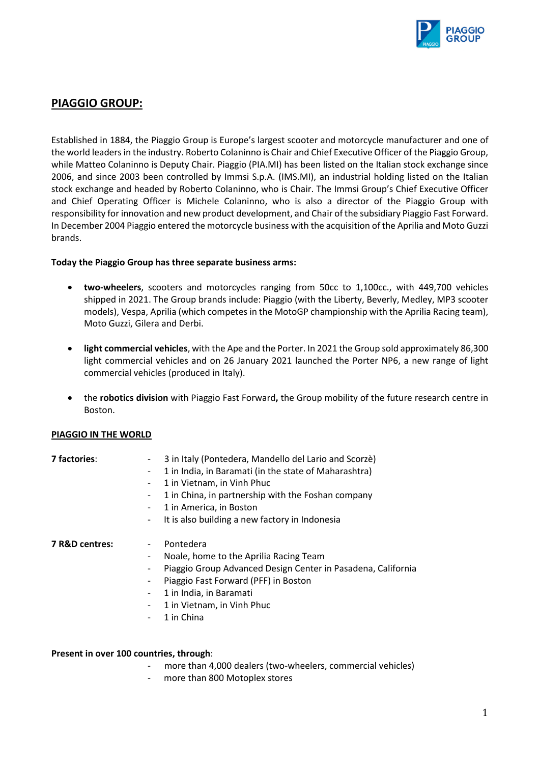

# **PIAGGIO GROUP:**

Established in 1884, the Piaggio Group is Europe's largest scooter and motorcycle manufacturer and one of the world leaders in the industry. Roberto Colaninno is Chair and Chief Executive Officer of the Piaggio Group, while Matteo Colaninno is Deputy Chair. Piaggio (PIA.MI) has been listed on the Italian stock exchange since 2006, and since 2003 been controlled by Immsi S.p.A. (IMS.MI), an industrial holding listed on the Italian stock exchange and headed by Roberto Colaninno, who is Chair. The Immsi Group's Chief Executive Officer and Chief Operating Officer is Michele Colaninno, who is also a director of the Piaggio Group with responsibility for innovation and new product development, and Chair of the subsidiary Piaggio Fast Forward. In December 2004 Piaggio entered the motorcycle business with the acquisition of the Aprilia and Moto Guzzi brands.

#### **Today the Piaggio Group has three separate business arms:**

- **two-wheelers**, scooters and motorcycles ranging from 50cc to 1,100cc., with 449,700 vehicles shipped in 2021. The Group brands include: Piaggio (with the Liberty, Beverly, Medley, MP3 scooter models), Vespa, Aprilia (which competes in the MotoGP championship with the Aprilia Racing team), Moto Guzzi, Gilera and Derbi.
- **light commercial vehicles**, with the Ape and the Porter. In 2021 the Group sold approximately 86,300 light commercial vehicles and on 26 January 2021 launched the Porter NP6, a new range of light commercial vehicles (produced in Italy).
- the **robotics division** with Piaggio Fast Forward**,** the Group mobility of the future research centre in Boston.

### **PIAGGIO IN THE WORLD**

| 7 factories:   | 3 in Italy (Pontedera, Mandello del Lario and Scorzè)        |
|----------------|--------------------------------------------------------------|
|                | 1 in India, in Baramati (in the state of Maharashtra)        |
|                | 1 in Vietnam, in Vinh Phuc                                   |
|                | 1 in China, in partnership with the Foshan company           |
|                | 1 in America, in Boston                                      |
|                | It is also building a new factory in Indonesia<br>۰          |
| 7 R&D centres: | Pontedera                                                    |
|                | Noale, home to the Aprilia Racing Team                       |
|                | Piaggio Group Advanced Design Center in Pasadena, California |
|                | Piaggio Fast Forward (PFF) in Boston                         |
|                | 1 in India, in Baramati                                      |
|                | 1 in Vietnam, in Vinh Phuc                                   |
|                | 1 in China<br>-                                              |
|                |                                                              |

#### **Present in over 100 countries, through**:

- more than 4,000 dealers (two-wheelers, commercial vehicles)
- more than 800 Motoplex stores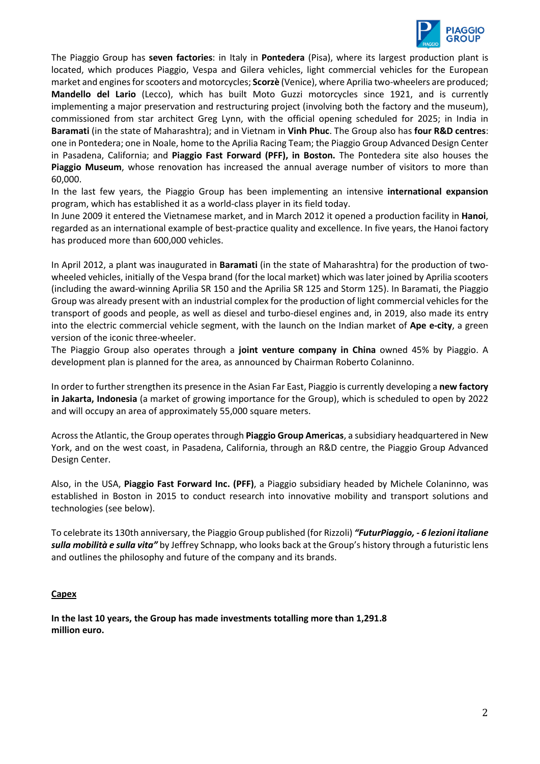

The Piaggio Group has **seven factories**: in Italy in **Pontedera** (Pisa), where its largest production plant is located, which produces Piaggio, Vespa and Gilera vehicles, light commercial vehicles for the European market and engines for scooters and motorcycles; **Scorzè** (Venice), where Aprilia two-wheelers are produced; **Mandello del Lario** (Lecco), which has built Moto Guzzi motorcycles since 1921, and is currently implementing a major preservation and restructuring project (involving both the factory and the museum), commissioned from star architect Greg Lynn, with the official opening scheduled for 2025; in India in **Baramati** (in the state of Maharashtra); and in Vietnam in **Vinh Phuc**. The Group also has **four R&D centres**: one in Pontedera; one in Noale, home to the Aprilia Racing Team; the Piaggio Group Advanced Design Center in Pasadena, California; and **Piaggio Fast Forward (PFF), in Boston.** The Pontedera site also houses the **Piaggio Museum**, whose renovation has increased the annual average number of visitors to more than 60,000.

In the last few years, the Piaggio Group has been implementing an intensive **international expansion** program, which has established it as a world-class player in its field today.

In June 2009 it entered the Vietnamese market, and in March 2012 it opened a production facility in **Hanoi**, regarded as an international example of best-practice quality and excellence. In five years, the Hanoi factory has produced more than 600,000 vehicles.

In April 2012, a plant was inaugurated in **Baramati** (in the state of Maharashtra) for the production of twowheeled vehicles, initially of the Vespa brand (for the local market) which was later joined by Aprilia scooters (including the award-winning Aprilia SR 150 and the Aprilia SR 125 and Storm 125). In Baramati, the Piaggio Group was already present with an industrial complex for the production of light commercial vehicles for the transport of goods and people, as well as diesel and turbo-diesel engines and, in 2019, also made its entry into the electric commercial vehicle segment, with the launch on the Indian market of **Ape e-city**, a green version of the iconic three-wheeler.

The Piaggio Group also operates through a **joint venture company in China** owned 45% by Piaggio. A development plan is planned for the area, as announced by Chairman Roberto Colaninno.

In order to further strengthen its presence in the Asian Far East, Piaggio is currently developing a **new factory in Jakarta, Indonesia** (a market of growing importance for the Group), which is scheduled to open by 2022 and will occupy an area of approximately 55,000 square meters.

Across the Atlantic, the Group operates through **Piaggio Group Americas**, a subsidiary headquartered in New York, and on the west coast, in Pasadena, California, through an R&D centre, the Piaggio Group Advanced Design Center.

Also, in the USA, **Piaggio Fast Forward Inc. (PFF)**, a Piaggio subsidiary headed by Michele Colaninno, was established in Boston in 2015 to conduct research into innovative mobility and transport solutions and technologies (see below).

To celebrate its 130th anniversary, the Piaggio Group published (for Rizzoli) *"FuturPiaggio, - 6 lezioni italiane sulla mobilità e sulla vita"* by Jeffrey Schnapp, who looks back at the Group's history through a futuristic lens and outlines the philosophy and future of the company and its brands.

### **Capex**

**In the last 10 years, the Group has made investments totalling more than 1,291.8 million euro.**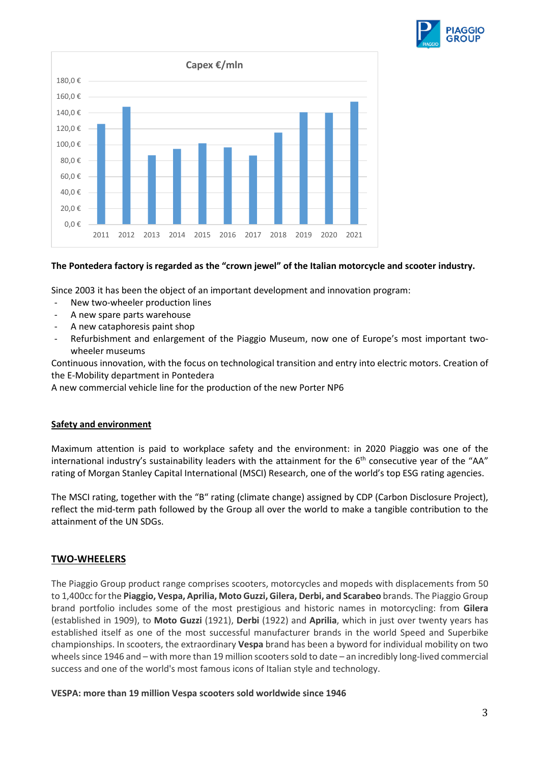



#### **The Pontedera factory is regarded as the "crown jewel" of the Italian motorcycle and scooter industry.**

Since 2003 it has been the object of an important development and innovation program:

- New two-wheeler production lines
- A new spare parts warehouse
- A new cataphoresis paint shop
- Refurbishment and enlargement of the Piaggio Museum, now one of Europe's most important twowheeler museums

Continuous innovation, with the focus on technological transition and entry into electric motors. Creation of the E-Mobility department in Pontedera

A new commercial vehicle line for the production of the new Porter NP6

#### **Safety and environment**

Maximum attention is paid to workplace safety and the environment: in 2020 Piaggio was one of the international industry's sustainability leaders with the attainment for the 6<sup>th</sup> consecutive year of the "AA" rating of Morgan Stanley Capital International (MSCI) Research, one of the world's top ESG rating agencies.

The MSCI rating, together with the "B" rating (climate change) assigned by CDP (Carbon Disclosure Project), reflect the mid-term path followed by the Group all over the world to make a tangible contribution to the attainment of the UN SDGs.

### **TWO-WHEELERS**

The Piaggio Group product range comprises scooters, motorcycles and mopeds with displacements from 50 to 1,400cc for the **Piaggio, Vespa, Aprilia, Moto Guzzi, Gilera, Derbi, and Scarabeo** brands. The Piaggio Group brand portfolio includes some of the most prestigious and historic names in motorcycling: from **Gilera**  (established in 1909), to **Moto Guzzi** (1921), **Derbi** (1922) and **Aprilia**, which in just over twenty years has established itself as one of the most successful manufacturer brands in the world Speed and Superbike championships. In scooters, the extraordinary **Vespa** brand has been a byword for individual mobility on two wheels since 1946 and – with more than 19 million scooters sold to date – an incredibly long-lived commercial success and one of the world's most famous icons of Italian style and technology.

#### **VESPA: more than 19 million Vespa scooters sold worldwide since 1946**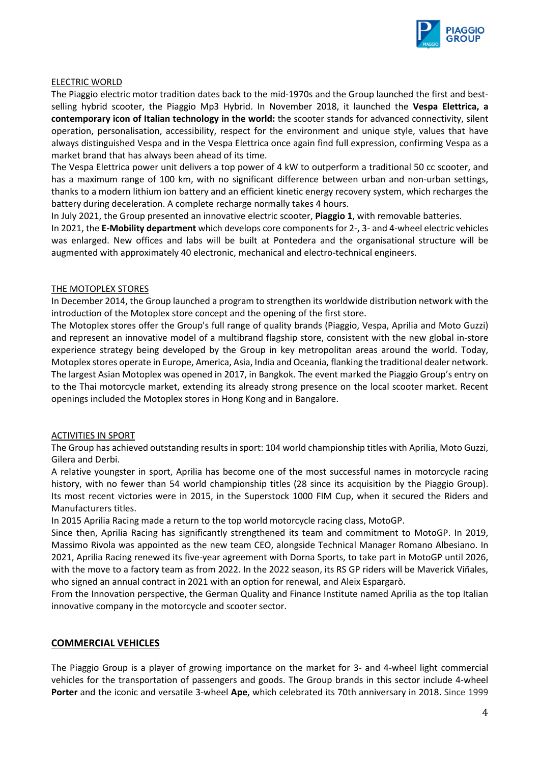

#### ELECTRIC WORLD

The Piaggio electric motor tradition dates back to the mid-1970s and the Group launched the first and bestselling hybrid scooter, the Piaggio Mp3 Hybrid. In November 2018, it launched the **Vespa Elettrica, a contemporary icon of Italian technology in the world:** the scooter stands for advanced connectivity, silent operation, personalisation, accessibility, respect for the environment and unique style, values that have always distinguished Vespa and in the Vespa Elettrica once again find full expression, confirming Vespa as a market brand that has always been ahead of its time.

The Vespa Elettrica power unit delivers a top power of 4 kW to outperform a traditional 50 cc scooter, and has a maximum range of 100 km, with no significant difference between urban and non-urban settings, thanks to a modern lithium ion battery and an efficient kinetic energy recovery system, which recharges the battery during deceleration. A complete recharge normally takes 4 hours.

In July 2021, the Group presented an innovative electric scooter, **Piaggio 1**, with removable batteries.

In 2021, the **E-Mobility department** which develops core components for 2-, 3- and 4-wheel electric vehicles was enlarged. New offices and labs will be built at Pontedera and the organisational structure will be augmented with approximately 40 electronic, mechanical and electro-technical engineers.

#### THE MOTOPLEX STORES

In December 2014, the Group launched a program to strengthen its worldwide distribution network with the introduction of the Motoplex store concept and the opening of the first store.

The Motoplex stores offer the Group's full range of quality brands (Piaggio, Vespa, Aprilia and Moto Guzzi) and represent an innovative model of a multibrand flagship store, consistent with the new global in-store experience strategy being developed by the Group in key metropolitan areas around the world. Today, Motoplex stores operate in Europe, America, Asia, India and Oceania, flanking the traditional dealer network. The largest Asian Motoplex was opened in 2017, in Bangkok. The event marked the Piaggio Group's entry on to the Thai motorcycle market, extending its already strong presence on the local scooter market. Recent openings included the Motoplex stores in Hong Kong and in Bangalore.

### ACTIVITIES IN SPORT

The Group has achieved outstanding results in sport: 104 world championship titles with Aprilia, Moto Guzzi, Gilera and Derbi.

A relative youngster in sport, Aprilia has become one of the most successful names in motorcycle racing history, with no fewer than 54 world championship titles (28 since its acquisition by the Piaggio Group). Its most recent victories were in 2015, in the Superstock 1000 FIM Cup, when it secured the Riders and Manufacturers titles.

In 2015 Aprilia Racing made a return to the top world motorcycle racing class, MotoGP.

Since then, Aprilia Racing has significantly strengthened its team and commitment to MotoGP. In 2019, Massimo Rivola was appointed as the new team CEO, alongside Technical Manager Romano Albesiano. In 2021, Aprilia Racing renewed its five-year agreement with Dorna Sports, to take part in MotoGP until 2026, with the move to a factory team as from 2022. In the 2022 season, its RS GP riders will be Maverick Viñales, who signed an annual contract in 2021 with an option for renewal, and Aleix Espargarò.

From the Innovation perspective, the German Quality and Finance Institute named Aprilia as the top Italian innovative company in the motorcycle and scooter sector.

### **COMMERCIAL VEHICLES**

The Piaggio Group is a player of growing importance on the market for 3- and 4-wheel light commercial vehicles for the transportation of passengers and goods. The Group brands in this sector include 4-wheel **Porter** and the iconic and versatile 3-wheel **Ape**, which celebrated its 70th anniversary in 2018. Since 1999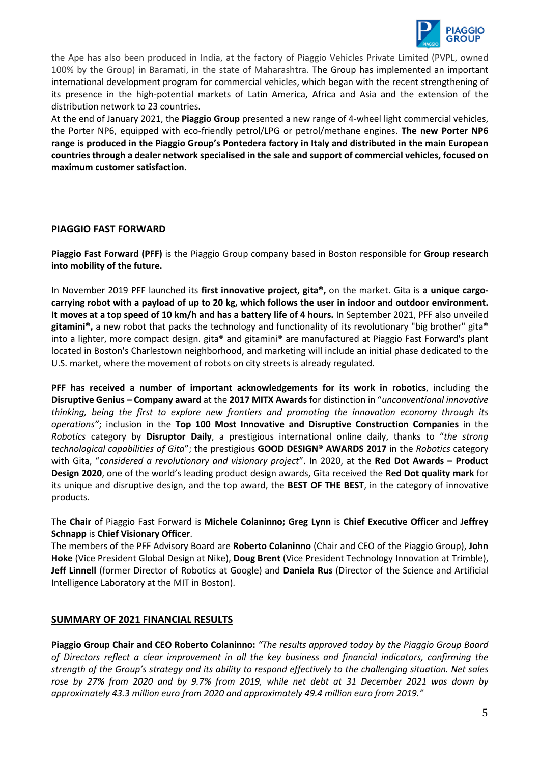

the Ape has also been produced in India, at the factory of Piaggio Vehicles Private Limited (PVPL, owned 100% by the Group) in Baramati, in the state of Maharashtra. The Group has implemented an important international development program for commercial vehicles, which began with the recent strengthening of its presence in the high-potential markets of Latin America, Africa and Asia and the extension of the distribution network to 23 countries.

At the end of January 2021, the **Piaggio Group** presented a new range of 4-wheel light commercial vehicles, the Porter NP6, equipped with eco-friendly petrol/LPG or petrol/methane engines. **The new Porter NP6 range is produced in the Piaggio Group's Pontedera factory in Italy and distributed in the main European countries through a dealer network specialised in the sale and support of commercial vehicles, focused on maximum customer satisfaction.** 

### **PIAGGIO FAST FORWARD**

**Piaggio Fast Forward (PFF)** is the Piaggio Group company based in Boston responsible for **Group research into mobility of the future.**

In November 2019 PFF launched its **first innovative project, gita®,** on the market. Gita is **a unique cargocarrying robot with a payload of up to 20 kg, which follows the user in indoor and outdoor environment. It moves at a top speed of 10 km/h and has a battery life of 4 hours.** In September 2021, PFF also unveiled gitamini®, a new robot that packs the technology and functionality of its revolutionary "big brother" gita® into a lighter, more compact design. gita® and gitamini® are manufactured at Piaggio Fast Forward's plant located in Boston's Charlestown neighborhood, and marketing will include an initial phase dedicated to the U.S. market, where the movement of robots on city streets is already regulated.

**PFF has received a number of important acknowledgements for its work in robotics**, including the **Disruptive Genius – Company award** at the **2017 MITX Awards** for distinction in "*unconventional innovative thinking, being the first to explore new frontiers and promoting the innovation economy through its operations"*; inclusion in the **Top 100 Most Innovative and Disruptive Construction Companies** in the *Robotics* category by **Disruptor Daily**, a prestigious international online daily, thanks to "*the strong technological capabilities of Gita*"; the prestigious **GOOD DESIGN® AWARDS 2017** in the *Robotics* category with Gita, "*considered a revolutionary and visionary project*". In 2020, at the **Red Dot Awards – Product Design 2020**, one of the world's leading product design awards, Gita received the **Red Dot quality mark** for its unique and disruptive design, and the top award, the **BEST OF THE BEST**, in the category of innovative products.

The **Chair** of Piaggio Fast Forward is **Michele Colaninno; Greg Lynn** is **Chief Executive Officer** and **Jeffrey Schnapp** is **Chief Visionary Officer**.

The members of the PFF Advisory Board are **Roberto Colaninno** (Chair and CEO of the Piaggio Group), **John Hoke** (Vice President Global Design at Nike), **Doug Brent** (Vice President Technology Innovation at Trimble), **Jeff Linnell** (former Director of Robotics at Google) and **Daniela Rus** (Director of the Science and Artificial Intelligence Laboratory at the MIT in Boston).

## **SUMMARY OF 2021 FINANCIAL RESULTS**

**Piaggio Group Chair and CEO Roberto Colaninno:** *"The results approved today by the Piaggio Group Board of Directors reflect a clear improvement in all the key business and financial indicators, confirming the strength of the Group's strategy and its ability to respond effectively to the challenging situation. Net sales rose by 27% from 2020 and by 9.7% from 2019, while net debt at 31 December 2021 was down by approximately 43.3 million euro from 2020 and approximately 49.4 million euro from 2019."*